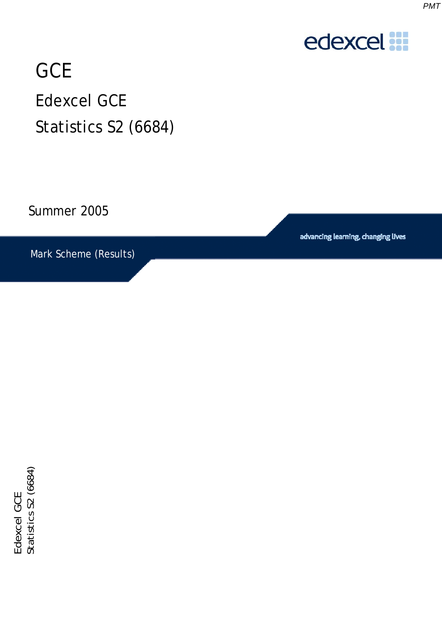

## **GCE** Edexcel GCE Statistics S2 (6684)

Summer 2005

Mark Scheme (Results)

advancing learning, changing lives

Edexcel GCE<br>Statistics S2 (6684) Statistics S2 (6684) Edexcel GCE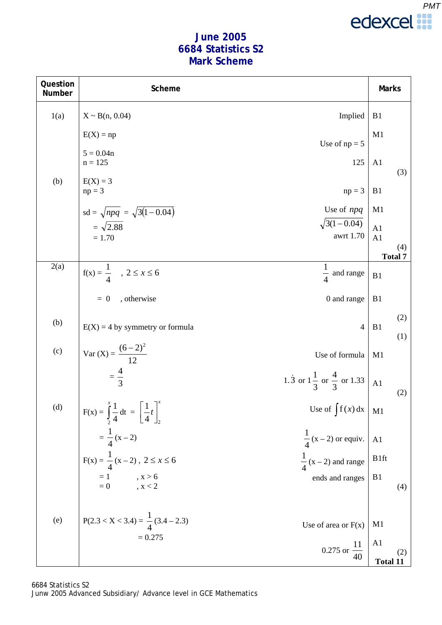

## **June 2005 6684 Statistics S2 Mark Scheme**

| Question<br>Number | Scheme                                                                   |                                                | <b>Marks</b>          |
|--------------------|--------------------------------------------------------------------------|------------------------------------------------|-----------------------|
| 1(a)               | $X \sim B(n, 0.04)$                                                      | Implied                                        | B1                    |
|                    | $E(X) = np$                                                              | Use of $np = 5$                                | M1                    |
|                    | $5 = 0.04n$<br>$n = 125$                                                 | 125                                            | A1<br>(3)             |
| (b)                | $E(X) = 3$<br>$np = 3$                                                   | $np = 3$                                       | B1                    |
|                    | $sd = \sqrt{npq} = \sqrt{3(1-0.04)}$                                     | Use of npq                                     | M1                    |
|                    | $=\sqrt{2.88}$                                                           | $\sqrt{3(1-0.04)}$                             | A1                    |
|                    | $= 1.70$                                                                 | awrt 1.70                                      | A <sub>1</sub>        |
|                    |                                                                          |                                                | (4)<br><b>Total 7</b> |
| 2(a)               | $f(x) = \frac{1}{4}$ , $2 \le x \le 6$                                   | 1<br>$\frac{1}{4}$ and range                   | B1                    |
|                    | $= 0$<br>, otherwise                                                     | 0 and range                                    | B1                    |
| (b)                |                                                                          |                                                | (2)                   |
|                    | $E(X) = 4$ by symmetry or formula                                        | $\overline{4}$                                 | B1<br>(1)             |
| (c)                | Var $(X) = \frac{(6-2)^2}{12}$                                           | Use of formula                                 | M1                    |
|                    | $=\frac{4}{3}$                                                           | 1.3 or $1\frac{1}{3}$ or $\frac{4}{3}$ or 1.33 | A1<br>(2)             |
| (d)                | $F(x) = \int_{2}^{x} \frac{1}{4} dt = \left[\frac{1}{4}t\right]_{2}^{x}$ | Use of $\int f(x) dx$ M1                       |                       |
|                    | $=\frac{1}{4}(x-2)$                                                      | $\frac{1}{4}$ (x – 2) or equiv.                | A <sub>1</sub>        |
|                    | $F(x) = \frac{1}{4}(x-2), 2 \le x \le 6$                                 | $\frac{1}{4}$ (x – 2) and range                | <b>B</b> 1ft          |
|                    | $= 1$ , $x > 6$<br>$= 0$ , $x < 2$                                       | ends and ranges                                | B1<br>(4)             |
|                    |                                                                          |                                                |                       |
| (e)                | $P(2.3 < X < 3.4) = \frac{1}{4}(3.4 - 2.3)$                              | Use of area or $F(x)$                          | M <sub>1</sub>        |
|                    | $= 0.275$                                                                | 0.275 or $\frac{11}{40}$                       | A <sub>1</sub><br>(2) |
|                    |                                                                          |                                                | <b>Total 11</b>       |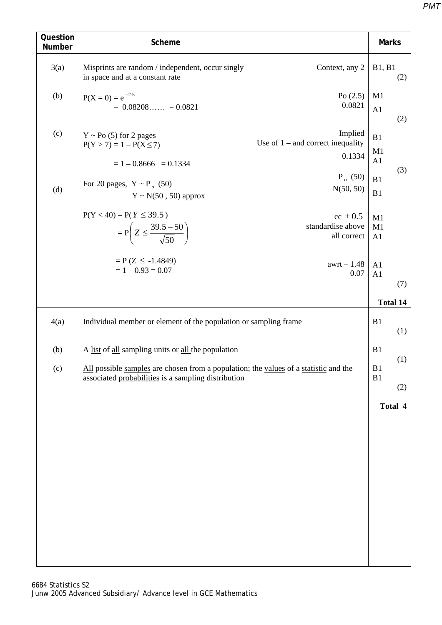| Question<br>Number | Scheme                                                                                                                                           | <b>Marks</b>    |                 |
|--------------------|--------------------------------------------------------------------------------------------------------------------------------------------------|-----------------|-----------------|
| 3(a)               | Misprints are random / independent, occur singly<br>Context, any 2<br>in space and at a constant rate                                            | B1, B1<br>(2)   |                 |
| (b)                | Po $(2.5)$<br>$P(X = 0) = e^{-2.5}$<br>0.0821<br>$= 0.08208$ $= 0.0821$                                                                          | M1<br>A1<br>(2) |                 |
| (c)                | Implied<br>$Y \sim Po(5)$ for 2 pages<br>Use of $1$ – and correct inequality<br>$P(Y > 7) = 1 - P(X \le 7)$<br>0.1334<br>$= 1 - 0.8666 = 0.1334$ | B1<br>M1<br>A1  |                 |
| (d)                | $P_o$ (50)<br>For 20 pages, $Y \sim P_a$ (50)<br>N(50, 50)<br>$Y \sim N(50, 50)$ approx                                                          | (3)<br>B1<br>B1 |                 |
|                    | $P(Y < 40) = P(Y \le 39.5)$<br>$cc \pm 0.5$<br>$= P\left(Z \leq \frac{39.5 - 50}{\sqrt{50}}\right)$<br>standardise above<br>all correct          | M1<br>M1<br>A1  |                 |
|                    | $= P(Z \le -1.4849)$<br>$awrt - 1.48$<br>$= 1 - 0.93 = 0.07$<br>0.07                                                                             | A1<br>A1<br>(7) |                 |
|                    |                                                                                                                                                  |                 | <b>Total 14</b> |
| 4(a)               | B1<br>Individual member or element of the population or sampling frame                                                                           |                 | (1)             |
| (b)                | A list of all sampling units or all the population                                                                                               |                 | (1)             |
| (c)                | All possible samples are chosen from a population; the values of a statistic and the<br>associated probabilities is a sampling distribution      |                 | (2)             |
|                    |                                                                                                                                                  | Total 4         |                 |
|                    |                                                                                                                                                  |                 |                 |
|                    |                                                                                                                                                  |                 |                 |
|                    |                                                                                                                                                  |                 |                 |
|                    |                                                                                                                                                  |                 |                 |
|                    |                                                                                                                                                  |                 |                 |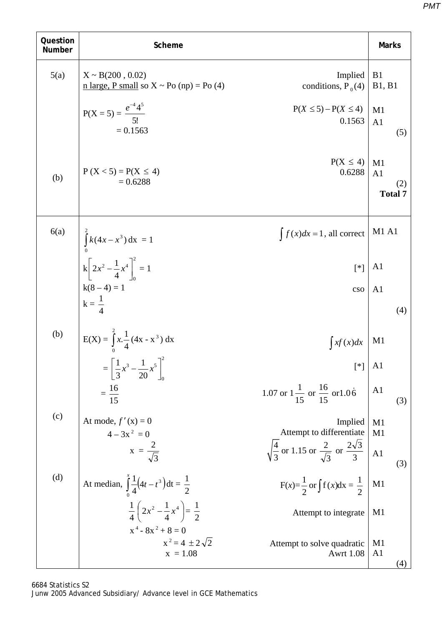| Question<br>Number | Scheme                                                                                                  |                                                                               | <b>Marks</b>                                  |
|--------------------|---------------------------------------------------------------------------------------------------------|-------------------------------------------------------------------------------|-----------------------------------------------|
| 5(a)               | $X \sim B(200, 0.02)$<br>$n \text{ large}, P \text{ small so } X \sim Po \text{ (np)} = Po \text{ (4)}$ | Implied<br>conditions, $P_0(4)$                                               | B <sub>1</sub><br>B1, B1                      |
|                    | $P(X = 5) = \frac{e^{-4} 4^5}{5!}$<br>$= 0.1563$                                                        | $P(X \leq 5) - P(X \leq 4)$<br>0.1563                                         | M1<br>A1<br>(5)                               |
| (b)                | $P(X < 5) = P(X \le 4)$<br>$= 0.6288$                                                                   | $P(X \leq 4)$<br>0.6288                                                       | M1<br>A <sub>1</sub><br>(2)<br><b>Total 7</b> |
| 6(a)               |                                                                                                         | $\int f(x)dx = 1$ , all correct                                               | <b>M1 A1</b>                                  |
|                    | $\int_{0}^{2} k(4x - x^{3}) dx = 1$<br>$k \left[ 2x^{2} - \frac{1}{4}x^{4} \right]_{0}^{2} = 1$         | $[^*]$                                                                        | A <sub>1</sub>                                |
|                    | $k(8-4) = 1$<br>$k = \frac{1}{4}$                                                                       | cso                                                                           | A <sub>1</sub>                                |
|                    |                                                                                                         |                                                                               | (4)                                           |
| (b)                | $E(X) = \int_{0}^{2} x \cdot \frac{1}{4} (4x - x^{3}) dx$                                               | $\int xf(x)dx$                                                                | M1                                            |
|                    | $= \left[ \frac{1}{3} x^3 - \frac{1}{20} x^5 \right]_0^2$                                               | $[$ *]                                                                        | A <sub>1</sub>                                |
|                    | $=\frac{16}{15}$                                                                                        | 1.07 or $1\frac{1}{15}$ or $\frac{16}{15}$ or 1.06                            | A <sub>1</sub><br>(3)                         |
| (c)                | At mode, $f'(x) = 0$<br>$4 - 3x^2 = 0$                                                                  | Implied<br>Attempt to differentiate                                           | M1<br>M1                                      |
|                    | $x = \frac{2}{\sqrt{3}}$                                                                                | $\sqrt{\frac{4}{3}}$ or 1.15 or $\frac{2}{\sqrt{3}}$ or $\frac{2\sqrt{3}}{3}$ | $\overline{A1}$<br>(3)                        |
| (d)                | At median, $\int_{2}^{x} \frac{1}{4} (4t - t^3) dt = \frac{1}{2}$                                       | $F(x)=\frac{1}{2}$ or $\int f(x)dx = \frac{1}{2}$                             | M1                                            |
|                    | $rac{1}{4} igg(2x^2 - \frac{1}{4}x^4 \bigg) = \frac{1}{2}$<br>$x^4 - 8x^2 + 8 = 0$                      | Attempt to integrate                                                          | M1                                            |
|                    | $x^2 = 4 \pm 2\sqrt{2}$<br>$x = 1.08$                                                                   | Attempt to solve quadratic<br><b>Awrt 1.08</b>                                | M <sub>1</sub><br>A <sub>1</sub><br>(4)       |

*PMT*